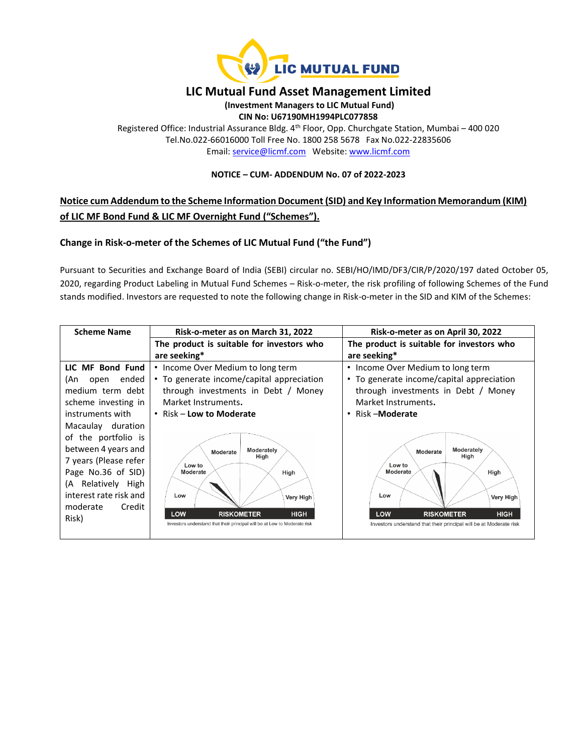

## **LIC Mutual Fund Asset Management Limited**

**(Investment Managers to LIC Mutual Fund)**

**CIN No: U67190MH1994PLC077858**

Registered Office: Industrial Assurance Bldg. 4th Floor, Opp. Churchgate Station, Mumbai – 400 020 Tel.No.022-66016000 Toll Free No. 1800 258 5678 Fax No.022-22835606 Email: [service@licmf.com](mailto:service@licnomuramf.com) Website: [www.licmf.com](http://www.licnomuramf.com/)

### **NOTICE – CUM- ADDENDUM No. 07 of 2022-2023**

# **Notice cum Addendum to the Scheme Information Document (SID) and Key Information Memorandum (KIM) of LIC MF Bond Fund & LIC MF Overnight Fund ("Schemes").**

## **Change in Risk-o-meter of the Schemes of LIC Mutual Fund ("the Fund")**

Pursuant to Securities and Exchange Board of India (SEBI) circular no. SEBI/HO/IMD/DF3/CIR/P/2020/197 dated October 05, 2020, regarding Product Labeling in Mutual Fund Schemes – Risk-o-meter, the risk profiling of following Schemes of the Fund stands modified. Investors are requested to note the following change in Risk-o-meter in the SID and KIM of the Schemes:

| <b>Scheme Name</b>     | Risk-o-meter as on March 31, 2022                                                                                    | Risk-o-meter as on April 30, 2022                                                                             |
|------------------------|----------------------------------------------------------------------------------------------------------------------|---------------------------------------------------------------------------------------------------------------|
|                        | The product is suitable for investors who                                                                            | The product is suitable for investors who                                                                     |
|                        | are seeking*                                                                                                         | are seeking*                                                                                                  |
| LIC MF Bond Fund       | • Income Over Medium to long term                                                                                    | Income Over Medium to long term                                                                               |
| ended<br>(An<br>open   | • To generate income/capital appreciation                                                                            | • To generate income/capital appreciation                                                                     |
| medium term debt       | through investments in Debt / Money                                                                                  | through investments in Debt / Money                                                                           |
| scheme investing in    | Market Instruments.                                                                                                  | Market Instruments.                                                                                           |
| instruments with       | • Risk – Low to Moderate                                                                                             | Risk – Moderate                                                                                               |
| Macaulay duration      |                                                                                                                      |                                                                                                               |
| of the portfolio is    |                                                                                                                      |                                                                                                               |
| between 4 years and    | Moderately<br>Moderate                                                                                               | Moderately<br>Moderate                                                                                        |
| 7 years (Please refer  | High<br>Low to                                                                                                       | High<br>Low to                                                                                                |
| Page No.36 of SID)     | Moderate<br>High                                                                                                     | Moderate<br>High                                                                                              |
| (A Relatively High     |                                                                                                                      |                                                                                                               |
| interest rate risk and | Low<br>Very High                                                                                                     | Low<br>Very High                                                                                              |
| moderate<br>Credit     |                                                                                                                      |                                                                                                               |
| Risk)                  | LOW<br><b>RISKOMETER</b><br><b>HIGH</b><br>Investors understand that their principal will be at Low to Moderate risk | LOW<br><b>HIGH</b><br><b>RISKOMETER</b><br>Investors understand that their principal will be at Moderate risk |
|                        |                                                                                                                      |                                                                                                               |